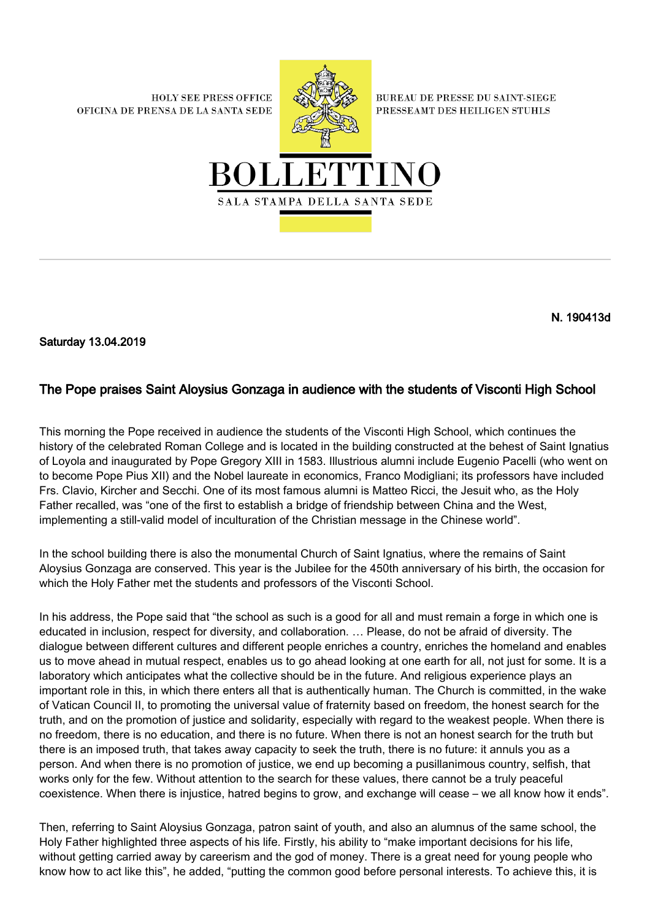**HOLY SEE PRESS OFFICE** OFICINA DE PRENSA DE LA SANTA SEDE



**BUREAU DE PRESSE DU SAINT-SIEGE** PRESSEAMT DES HEILIGEN STUHLS



N. 190413d

Saturday 13.04.2019

## The Pope praises Saint Aloysius Gonzaga in audience with the students of Visconti High School

This morning the Pope received in audience the students of the Visconti High School, which continues the history of the celebrated Roman College and is located in the building constructed at the behest of Saint Ignatius of Loyola and inaugurated by Pope Gregory XIII in 1583. Illustrious alumni include Eugenio Pacelli (who went on to become Pope Pius XII) and the Nobel laureate in economics, Franco Modigliani; its professors have included Frs. Clavio, Kircher and Secchi. One of its most famous alumni is Matteo Ricci, the Jesuit who, as the Holy Father recalled, was "one of the first to establish a bridge of friendship between China and the West, implementing a still-valid model of inculturation of the Christian message in the Chinese world".

In the school building there is also the monumental Church of Saint Ignatius, where the remains of Saint Aloysius Gonzaga are conserved. This year is the Jubilee for the 450th anniversary of his birth, the occasion for which the Holy Father met the students and professors of the Visconti School.

In his address, the Pope said that "the school as such is a good for all and must remain a forge in which one is educated in inclusion, respect for diversity, and collaboration. … Please, do not be afraid of diversity. The dialogue between different cultures and different people enriches a country, enriches the homeland and enables us to move ahead in mutual respect, enables us to go ahead looking at one earth for all, not just for some. It is a laboratory which anticipates what the collective should be in the future. And religious experience plays an important role in this, in which there enters all that is authentically human. The Church is committed, in the wake of Vatican Council II, to promoting the universal value of fraternity based on freedom, the honest search for the truth, and on the promotion of justice and solidarity, especially with regard to the weakest people. When there is no freedom, there is no education, and there is no future. When there is not an honest search for the truth but there is an imposed truth, that takes away capacity to seek the truth, there is no future: it annuls you as a person. And when there is no promotion of justice, we end up becoming a pusillanimous country, selfish, that works only for the few. Without attention to the search for these values, there cannot be a truly peaceful coexistence. When there is injustice, hatred begins to grow, and exchange will cease – we all know how it ends".

Then, referring to Saint Aloysius Gonzaga, patron saint of youth, and also an alumnus of the same school, the Holy Father highlighted three aspects of his life. Firstly, his ability to "make important decisions for his life, without getting carried away by careerism and the god of money. There is a great need for young people who know how to act like this", he added, "putting the common good before personal interests. To achieve this, it is